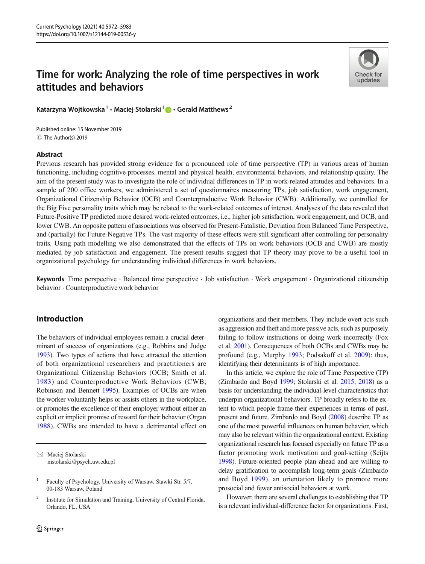# Time for work: Analyzing the role of time perspectives in work attitudes and behaviors



Katarzyna Wojtkowska<sup>1</sup> · Maciej Stolarski<sup>1</sup>  $\bullet$  · Gerald Matthews<sup>2</sup>

C The Author(s) 2019 Published online: 15 November 2019

## Abstract

Previous research has provided strong evidence for a pronounced role of time perspective (TP) in various areas of human functioning, including cognitive processes, mental and physical health, environmental behaviors, and relationship quality. The aim of the present study was to investigate the role of individual differences in TP in work-related attitudes and behaviors. In a sample of 200 office workers, we administered a set of questionnaires measuring TPs, job satisfaction, work engagement, Organizational Citizenship Behavior (OCB) and Counterproductive Work Behavior (CWB). Additionally, we controlled for the Big Five personality traits which may be related to the work-related outcomes of interest. Analyses of the data revealed that Future-Positive TP predicted more desired work-related outcomes, i.e., higher job satisfaction, work engagement, and OCB, and lower CWB. An opposite pattern of associations was observed for Present-Fatalistic, Deviation from Balanced Time Perspective, and (partially) for Future-Negative TPs. The vast majority of these effects were still significant after controlling for personality traits. Using path modelling we also demonstrated that the effects of TPs on work behaviors (OCB and CWB) are mostly mediated by job satisfaction and engagement. The present results suggest that TP theory may prove to be a useful tool in organizational psychology for understanding individual differences in work behaviors.

Keywords Time perspective . Balanced time perspective . Job satisfaction . Work engagement . Organizational citizenship behavior . Counterproductive work behavior

## Introduction

The behaviors of individual employees remain a crucial determinant of success of organizations (e.g., Robbins and Judge [1993](#page-11-0)). Two types of actions that have attracted the attention of both organizational researchers and practitioners are Organizational Citizenship Behaviors (OCB; Smith et al. [1983](#page-11-0)) and Counterproductive Work Behaviors (CWB; Robinson and Bennett [1995\)](#page-11-0). Examples of OCBs are when the worker voluntarily helps or assists others in the workplace, or promotes the excellence of their employer without either an explicit or implicit promise of reward for their behavior (Organ [1988\)](#page-10-0). CWBs are intended to have a detrimental effect on

organizations and their members. They include overt acts such as aggression and theft and more passive acts, such as purposely failing to follow instructions or doing work incorrectly (Fox et al. [2001](#page-10-0)). Consequences of both OCBs and CWBs may be profound (e.g., Murphy [1993;](#page-10-0) Podsakoff et al. [2009](#page-10-0)): thus, identifying their determinants is of high importance.

In this article, we explore the role of Time Perspective (TP) (Zimbardo and Boyd [1999](#page-11-0); Stolarski et al. [2015,](#page-11-0) [2018\)](#page-11-0) as a basis for understanding the individual-level characteristics that underpin organizational behaviors. TP broadly refers to the extent to which people frame their experiences in terms of past, present and future. Zimbardo and Boyd [\(2008](#page-11-0)) describe TP as one of the most powerful influences on human behavior, which may also be relevant within the organizational context. Existing organizational research has focused especially on future TP as a factor promoting work motivation and goal-setting (Seijts [1998\)](#page-11-0). Future-oriented people plan ahead and are willing to delay gratification to accomplish long-term goals (Zimbardo and Boyd [1999](#page-11-0)), an orientation likely to promote more prosocial and fewer antisocial behaviors at work.

However, there are several challenges to establishing that TP is a relevant individual-difference factor for organizations. First,

 $\boxtimes$  Maciej Stolarski [mstolarski@psych.uw.edu.pl](mailto:mstolarski@psych.uw.edu.pl)

<sup>1</sup> Faculty of Psychology, University of Warsaw, Stawki Str. 5/7, 00-183 Warsaw, Poland

<sup>&</sup>lt;sup>2</sup> Institute for Simulation and Training, University of Central Florida, Orlando, FL, USA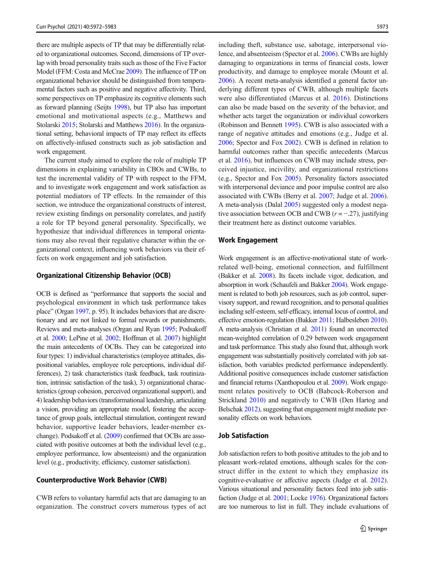there are multiple aspects of TP that may be differentially related to organizational outcomes. Second, dimensions of TP overlap with broad personality traits such as those of the Five Factor Model (FFM: Costa and McCrae [2009\)](#page-9-0). The influence of TP on organizational behavior should be distinguished from temperamental factors such as positive and negative affectivity. Third, some perspectives on TP emphasize its cognitive elements such as forward planning (Seijts [1998\)](#page-11-0), but TP also has important emotional and motivational aspects (e.g., Matthews and Stolarski [2015;](#page-10-0) Stolarski and Matthews [2016\)](#page-11-0). In the organizational setting, behavioral impacts of TP may reflect its effects on affectively-infused constructs such as job satisfaction and work engagement.

The current study aimed to explore the role of multiple TP dimensions in explaining variability in CBOs and CWBs, to test the incremental validity of TP with respect to the FFM, and to investigate work engagement and work satisfaction as potential mediators of TP effects. In the remainder of this section, we introduce the organizational constructs of interest, review existing findings on personality correlates, and justify a role for TP beyond general personality. Specifically, we hypothesize that individual differences in temporal orientations may also reveal their regulative character within the organizational context, influencing work behaviors via their effects on work engagement and job satisfaction.

#### Organizational Citizenship Behavior (OCB)

OCB is defined as "performance that supports the social and psychological environment in which task performance takes place" (Organ [1997](#page-10-0), p. 95). It includes behaviors that are discretionary and are not linked to formal rewards or punishments. Reviews and meta-analyses (Organ and Ryan [1995;](#page-10-0) Podsakoff et al. [2000](#page-11-0); LePine et al. [2002;](#page-10-0) Hoffman et al. [2007](#page-10-0)) highlight the main antecedents of OCBs. They can be categorized into four types: 1) individual characteristics (employee attitudes, dispositional variables, employee role perceptions, individual differences), 2) task characteristics (task feedback, task routinization, intrinsic satisfaction of the task), 3) organizational characteristics (group cohesion, perceived organizational support), and 4) leadership behaviors (transformational leadership, articulating a vision, providing an appropriate model, fostering the acceptance of group goals, intellectual stimulation, contingent reward behavior, supportive leader behaviors, leader-member exchange). Podsakoff et al. [\(2009\)](#page-10-0) confirmed that OCBs are associated with positive outcomes at both the individual level (e.g., employee performance, low absenteeism) and the organization level (e.g., productivity, efficiency, customer satisfaction).

#### Counterproductive Work Behavior (CWB)

CWB refers to voluntary harmful acts that are damaging to an organization. The construct covers numerous types of act including theft, substance use, sabotage, interpersonal violence, and absenteeism (Spector et al. [2006](#page-11-0)). CWBs are highly damaging to organizations in terms of financial costs, lower productivity, and damage to employee morale (Mount et al. [2006\)](#page-10-0). A recent meta-analysis identified a general factor underlying different types of CWB, although multiple facets were also differentiated (Marcus et al. [2016\)](#page-10-0). Distinctions can also be made based on the severity of the behavior, and whether acts target the organization or individual coworkers (Robinson and Bennett [1995\)](#page-11-0). CWB is also associated with a range of negative attitudes and emotions (e.g., Judge et al. [2006;](#page-10-0) Spector and Fox [2002\)](#page-11-0). CWB is defined in relation to harmful outcomes rather than specific antecedents (Marcus et al. [2016\)](#page-10-0), but influences on CWB may include stress, perceived injustice, incivility, and organizational restrictions (e.g., Spector and Fox [2005\)](#page-11-0). Personality factors associated with interpersonal deviance and poor impulse control are also associated with CWBs (Berry et al. [2007](#page-9-0); Judge et al. [2006\)](#page-10-0). A meta-analysis (Dalal [2005\)](#page-10-0) suggested only a modest negative association between OCB and CWB  $(r = -0.27)$ , justifying their treatment here as distinct outcome variables.

#### Work Engagement

Work engagement is an affective-motivational state of workrelated well-being, emotional connection, and fulfillment (Bakker et al. [2008\)](#page-9-0). Its facets include vigor, dedication, and absorption in work (Schaufeli and Bakker [2004\)](#page-11-0). Work engagement is related to both job resources, such as job control, supervisory support, and reward recognition, and to personal qualities including self-esteem, self-efficacy, internal locus of control, and effective emotion-regulation (Bakker [2011;](#page-9-0) Halbesleben [2010\)](#page-10-0). A meta-analysis (Christian et al. [2011\)](#page-9-0) found an uncorrected mean-weighted correlation of 0.29 between work engagement and task performance. This study also found that, although work engagement was substantially positively correlated with job satisfaction, both variables predicted performance independently. Additional positive consequences include customer satisfaction and financial returns (Xanthopoulou et al. [2009](#page-11-0)). Work engagement relates positively to OCB (Babcock-Roberson and Strickland [2010](#page-9-0)) and negatively to CWB (Den Hartog and Belschak [2012](#page-10-0)), suggesting that engagement might mediate personality effects on work behaviors.

## Job Satisfaction

Job satisfaction refers to both positive attitudes to the job and to pleasant work-related emotions, although scales for the construct differ in the extent to which they emphasize its cognitive-evaluative or affective aspects (Judge et al. [2012\)](#page-10-0). Various situational and personality factors feed into job satisfaction (Judge et al. [2001](#page-10-0); Locke [1976\)](#page-10-0). Organizational factors are too numerous to list in full. They include evaluations of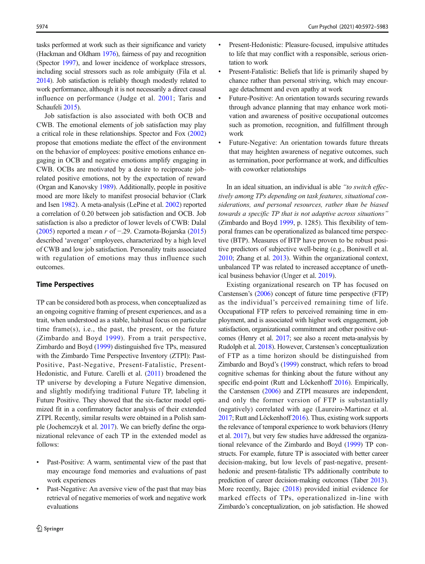tasks performed at work such as their significance and variety (Hackman and Oldham [1976\)](#page-10-0), fairness of pay and recognition (Spector [1997](#page-11-0)), and lower incidence of workplace stressors, including social stressors such as role ambiguity (Fila et al. [2014](#page-10-0)). Job satisfaction is reliably though modestly related to work performance, although it is not necessarily a direct causal influence on performance (Judge et al. [2001;](#page-10-0) Taris and Schaufeli [2015](#page-11-0)).

Job satisfaction is also associated with both OCB and CWB. The emotional elements of job satisfaction may play a critical role in these relationships. Spector and Fox [\(2002\)](#page-11-0) propose that emotions mediate the effect of the environment on the behavior of employees: positive emotions enhance engaging in OCB and negative emotions amplify engaging in CWB. OCBs are motivated by a desire to reciprocate jobrelated positive emotions, not by the expectation of reward (Organ and Kanovsky [1989](#page-10-0)). Additionally, people in positive mood are more likely to manifest prosocial behavior (Clark and Isen [1982](#page-9-0)). A meta-analysis (LePine et al. [2002](#page-10-0)) reported a correlation of 0.20 between job satisfaction and OCB. Job satisfaction is also a predictor of lower levels of CWB: Dalal [\(2005\)](#page-10-0) reported a mean r of −.29. Czarnota-Bojarska [\(2015\)](#page-10-0) described 'avenger' employees, characterized by a high level of CWB and low job satisfaction. Personality traits associated with regulation of emotions may thus influence such outcomes.

## Time Perspectives

TP can be considered both as process, when conceptualized as an ongoing cognitive framing of present experiences, and as a trait, when understood as a stable, habitual focus on particular time frame $(s)$ , i.e., the past, the present, or the future (Zimbardo and Boyd [1999](#page-11-0)). From a trait perspective, Zimbardo and Boyd [\(1999\)](#page-11-0) distinguished five TPs, measured with the Zimbardo Time Perspective Inventory (ZTPI): Past-Positive, Past-Negative, Present-Fatalistic, Present-Hedonistic, and Future. Carelli et al. [\(2011\)](#page-9-0) broadened the TP universe by developing a Future Negative dimension, and slightly modifying traditional Future TP, labeling it Future Positive. They showed that the six-factor model optimized fit in a confirmatory factor analysis of their extended ZTPI. Recently, similar results were obtained in a Polish sample (Jochemczyk et al. [2017](#page-10-0)). We can briefly define the organizational relevance of each TP in the extended model as follows:

- & Past-Positive: A warm, sentimental view of the past that may encourage fond memories and evaluations of past work experiences
- Past-Negative: An aversive view of the past that may bias retrieval of negative memories of work and negative work evaluations
- & Present-Hedonistic: Pleasure-focused, impulsive attitudes to life that may conflict with a responsible, serious orientation to work
- & Present-Fatalistic: Beliefs that life is primarily shaped by chance rather than personal striving, which may encourage detachment and even apathy at work
- & Future-Positive: An orientation towards securing rewards through advance planning that may enhance work motivation and awareness of positive occupational outcomes such as promotion, recognition, and fulfillment through work
- Future-Negative: An orientation towards future threats that may heighten awareness of negative outcomes, such as termination, poor performance at work, and difficulties with coworker relationships

In an ideal situation, an individual is able "to switch effectively among TPs depending on task features, situational considerations, and personal resources, rather than be biased towards a specific TP that is not adaptive across situations" (Zimbardo and Boyd [1999](#page-11-0), p. 1285). This flexibility of temporal frames can be operationalized as balanced time perspective (BTP). Measures of BTP have proven to be robust positive predictors of subjective well-being (e.g., Boniwell et al. [2010;](#page-9-0) Zhang et al. [2013\)](#page-11-0). Within the organizational context, unbalanced TP was related to increased acceptance of unethical business behavior (Unger et al. [2019\)](#page-11-0).

Existing organizational research on TP has focused on Carstensen's [\(2006](#page-9-0)) concept of future time perspective (FTP) as the individual's perceived remaining time of life. Occupational FTP refers to perceived remaining time in employment, and is associated with higher work engagement, job satisfaction, organizational commitment and other positive outcomes (Henry et al. [2017;](#page-10-0) see also a recent meta-analysis by Rudolph et al. [2018\)](#page-11-0). However, Carstensen's conceptualization of FTP as a time horizon should be distinguished from Zimbardo and Boyd's ([1999\)](#page-11-0) construct, which refers to broad cognitive schemas for thinking about the future without any specific end-point (Rutt and Löckenhoff [2016](#page-11-0)). Empirically, the Carstensen ([2006](#page-9-0)) and ZTPI measures are independent, and only the former version of FTP is substantially (negatively) correlated with age (Laureiro-Martinez et al. [2017](#page-10-0); Rutt and Löckenhoff [2016\)](#page-11-0). Thus, existing work supports the relevance of temporal experience to work behaviors (Henry et al. [2017](#page-10-0)), but very few studies have addressed the organizational relevance of the Zimbardo and Boyd [\(1999](#page-11-0)) TP constructs. For example, future TP is associated with better career decision-making, but low levels of past-negative, presenthedonic and present-fatalistic TPs additionally contribute to prediction of career decision-making outcomes (Taber [2013\)](#page-11-0). More recently, Bajec [\(2018\)](#page-9-0) provided initial evidence for marked effects of TPs, operationalized in-line with Zimbardo's conceptualization, on job satisfaction. He showed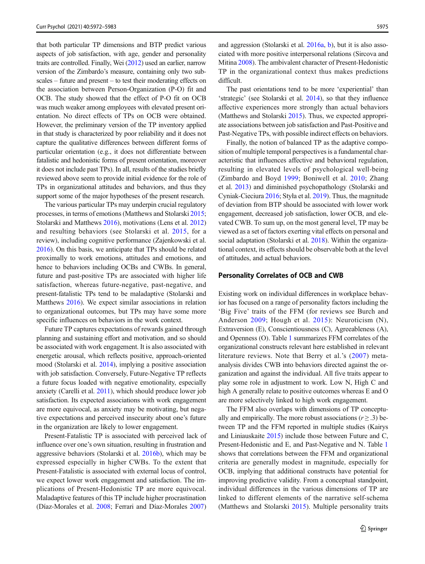that both particular TP dimensions and BTP predict various aspects of job satisfaction, with age, gender and personality traits are controlled. Finally, Wei [\(2012](#page-11-0)) used an earlier, narrow version of the Zimbardo's measure, containing only two subscales – future and present – to test their moderating effects on the association between Person-Organization (P-O) fit and OCB. The study showed that the effect of P-O fit on OCB was much weaker among employees with elevated present orientation. No direct effects of TPs on OCB were obtained. However, the preliminary version of the TP inventory applied in that study is characterized by poor reliability and it does not capture the qualitative differences between different forms of particular orientation (e.g., it does not differentiate between fatalistic and hedonistic forms of present orientation, moreover it does not include past TPs). In all, results of the studies briefly reviewed above seem to provide initial evidence for the role of TPs in organizational attitudes and behaviors, and thus they support some of the major hypotheses of the present research.

The various particular TPs may underpin crucial regulatory processes, in terms of emotions (Matthews and Stolarski [2015](#page-10-0); Stolarski and Matthews [2016](#page-11-0)), motivations (Lens et al. [2012\)](#page-10-0) and resulting behaviors (see Stolarski et al. [2015](#page-11-0), for a review), including cognitive performance (Zajenkowski et al. [2016\)](#page-11-0). On this basis, we anticipate that TPs should be related proximally to work emotions, attitudes and emotions, and hence to behaviors including OCBs and CWBs. In general, future and past-positive TPs are associated with higher life satisfaction, whereas future-negative, past-negative, and present-fatalistic TPs tend to be maladaptive (Stolarski and Matthews [2016\)](#page-11-0). We expect similar associations in relation to organizational outcomes, but TPs may have some more specific influences on behaviors in the work context.

Future TP captures expectations of rewards gained through planning and sustaining effort and motivation, and so should be associated with work engagement. It is also associated with energetic arousal, which reflects positive, approach-oriented mood (Stolarski et al. [2014\)](#page-11-0), implying a positive association with job satisfaction. Conversely, Future-Negative TP reflects a future focus loaded with negative emotionality, especially anxiety (Carelli et al. [2011\)](#page-9-0), which should produce lower job satisfaction. Its expected associations with work engagement are more equivocal, as anxiety may be motivating, but negative expectations and perceived insecurity about one's future in the organization are likely to lower engagement.

Present-Fatalistic TP is associated with perceived lack of influence over one's own situation, resulting in frustration and aggressive behaviors (Stolarski et al. [2016b\)](#page-11-0), which may be expressed especially in higher CWBs. To the extent that Present-Fatalistic is associated with external locus of control, we expect lower work engagement and satisfaction. The implications of Present-Hedonistic TP are more equivocal. Maladaptive features of this TP include higher procrastination (Díaz-Morales et al. [2008;](#page-10-0) Ferrari and Díaz-Morales [2007\)](#page-10-0)

and aggression (Stolarski et al. [2016a,](#page-11-0) [b](#page-11-0)), but it is also associated with more positive interpersonal relations (Sircova and Mitina [2008\)](#page-11-0). The ambivalent character of Present-Hedonistic TP in the organizational context thus makes predictions difficult.

The past orientations tend to be more 'experiential' than 'strategic' (see Stolarski et al. [2014](#page-11-0)), so that they influence affective experiences more strongly than actual behaviors (Matthews and Stolarski [2015\)](#page-10-0). Thus, we expected appropriate associations between job satisfaction and Past-Positive and Past-Negative TPs, with possible indirect effects on behaviors.

Finally, the notion of balanced TP as the adaptive composition of multiple temporal perspectives is a fundamental characteristic that influences affective and behavioral regulation, resulting in elevated levels of psychological well-being (Zimbardo and Boyd [1999](#page-11-0); Boniwell et al. [2010;](#page-9-0) Zhang et al. [2013\)](#page-11-0) and diminished psychopathology (Stolarski and Cyniak-Cieciura [2016;](#page-11-0) Styła et al. [2019\)](#page-11-0). Thus, the magnitude of deviation from BTP should be associated with lower work engagement, decreased job satisfaction, lower OCB, and elevated CWB. To sum up, on the most general level, TP may be viewed as a set of factors exerting vital effects on personal and social adaptation (Stolarski et al. [2018\)](#page-11-0). Within the organizational context, its effects should be observable both at the level of attitudes, and actual behaviors.

#### Personality Correlates of OCB and CWB

Existing work on individual differences in workplace behavior has focused on a range of personality factors including the 'Big Five' traits of the FFM (for reviews see Burch and Anderson [2009;](#page-9-0) Hough et al. [2015](#page-10-0)): Neuroticism (N), Extraversion (E), Conscientiousness (C), Agreeableness (A), and Openness (O). Table [1](#page-4-0) summarizes FFM correlates of the organizational constructs relevant here established in relevant literature reviews. Note that Berry et al.'s ([2007\)](#page-9-0) metaanalysis divides CWB into behaviors directed against the organization and against the individual. All five traits appear to play some role in adjustment to work. Low N, High C and high A generally relate to positive outcomes whereas E and O are more selectively linked to high work engagement.

The FFM also overlaps with dimensions of TP conceptually and empirically. The more robust associations ( $r \ge 0.3$ ) between TP and the FFM reported in multiple studies (Kairys and Liniauskaite [2015](#page-10-0)) include those between Future and C, Present-Hedonistic and E, and Past-Negative and N. Table [1](#page-4-0) shows that correlations between the FFM and organizational criteria are generally modest in magnitude, especially for OCB, implying that additional constructs have potential for improving predictive validity. From a conceptual standpoint, individual differences in the various dimensions of TP are linked to different elements of the narrative self-schema (Matthews and Stolarski [2015](#page-10-0)). Multiple personality traits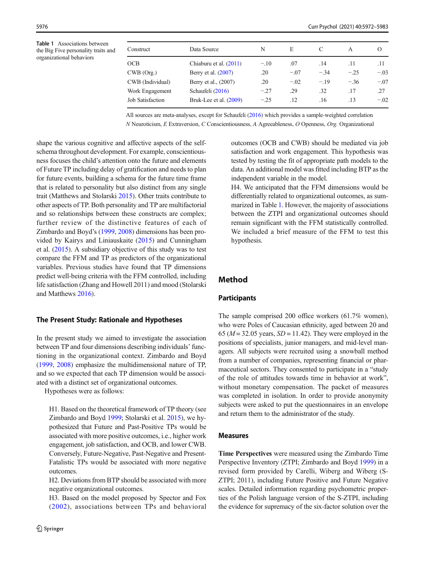<span id="page-4-0"></span>Table 1 Associations between the Big Five personality traits and organizational behaviors

| Construct               | Data Source            | N      | E      |        | A      | $\epsilon$ |
|-------------------------|------------------------|--------|--------|--------|--------|------------|
| OCB                     | Chiaburu et al. (2011) | $-.10$ | .07    | .14    | .11    | .11        |
| CWB (Org.)              | Berry et al. (2007)    | .20    | $-.07$ | $-.34$ | $-.25$ | $-.03$     |
| CWB (Individual)        | Berry et al., (2007)   | .20    | $-.02$ | $-.19$ | $-.36$ | $-.07$     |
| Work Engagement         | Schaufeli (2016)       | $-.27$ | .29    | .32    | .17    | .27        |
| <b>Job Satisfaction</b> | Bruk-Lee et al. (2009) | $-.25$ | .12    | .16    | .13    | $-.02$     |

All sources are meta-analyses, except for Schaufeli [\(2016\)](#page-11-0) which provides a sample-weighted correlation N Neuroticism, E Extraversion, C Conscientiousness, A Agreeableness, O Openness, Org. Organizational

shape the various cognitive and affective aspects of the selfschema throughout development. For example, conscientiousness focuses the child's attention onto the future and elements of Future TP including delay of gratification and needs to plan for future events, building a schema for the future time frame that is related to personality but also distinct from any single trait (Matthews and Stolarski [2015\)](#page-10-0). Other traits contribute to other aspects of TP. Both personality and TP are multifactorial and so relationships between these constructs are complex; further review of the distinctive features of each of Zimbardo and Boyd's [\(1999,](#page-11-0) [2008\)](#page-11-0) dimensions has been provided by Kairys and Liniauskaite [\(2015](#page-10-0)) and Cunningham et al. [\(2015\)](#page-9-0). A subsidiary objective of this study was to test compare the FFM and TP as predictors of the organizational variables. Previous studies have found that TP dimensions predict well-being criteria with the FFM controlled, including life satisfaction (Zhang and Howell 2011) and mood (Stolarski and Matthews [2016](#page-11-0)).

#### The Present Study: Rationale and Hypotheses

In the present study we aimed to investigate the association between TP and four dimensions describing individuals' functioning in the organizational context. Zimbardo and Boyd [\(1999,](#page-11-0) [2008](#page-11-0)) emphasize the multidimensional nature of TP, and so we expected that each TP dimension would be associated with a distinct set of organizational outcomes.

Hypotheses were as follows:

H1. Based on the theoretical framework of TP theory (see Zimbardo and Boyd [1999](#page-11-0); Stolarski et al. [2015\)](#page-11-0), we hypothesized that Future and Past-Positive TPs would be associated with more positive outcomes, i.e., higher work engagement, job satisfaction, and OCB, and lower CWB. Conversely, Future-Negative, Past-Negative and Present-Fatalistic TPs would be associated with more negative outcomes.

H2. Deviations from BTP should be associated with more negative organizational outcomes.

H3. Based on the model proposed by Spector and Fox ([2002](#page-11-0)), associations between TPs and behavioral outcomes (OCB and CWB) should be mediated via job satisfaction and work engagement. This hypothesis was tested by testing the fit of appropriate path models to the data. An additional model was fitted including BTP as the independent variable in the model.

H4. We anticipated that the FFM dimensions would be differentially related to organizational outcomes, as summarized in Table 1. However, the majority of associations between the ZTPI and organizational outcomes should remain significant with the FFM statistically controlled. We included a brief measure of the FFM to test this hypothesis.

## Method

#### **Participants**

The sample comprised 200 office workers (61.7% women), who were Poles of Caucasian ethnicity, aged between 20 and 65 ( $M = 32.05$  years,  $SD = 11.42$ ). They were employed in the positions of specialists, junior managers, and mid-level managers. All subjects were recruited using a snowball method from a number of companies, representing financial or pharmaceutical sectors. They consented to participate in a "study of the role of attitudes towards time in behavior at work", without monetary compensation. The packet of measures was completed in isolation. In order to provide anonymity subjects were asked to put the questionnaires in an envelope and return them to the administrator of the study.

#### Measures

Time Perspectives were measured using the Zimbardo Time Perspective Inventory (ZTPI; Zimbardo and Boyd [1999\)](#page-11-0) in a revised form provided by Carelli, Wiberg and Wiberg (S-ZTPI; 2011), including Future Positive and Future Negative scales. Detailed information regarding psychometric properties of the Polish language version of the S-ZTPI, including the evidence for supremacy of the six-factor solution over the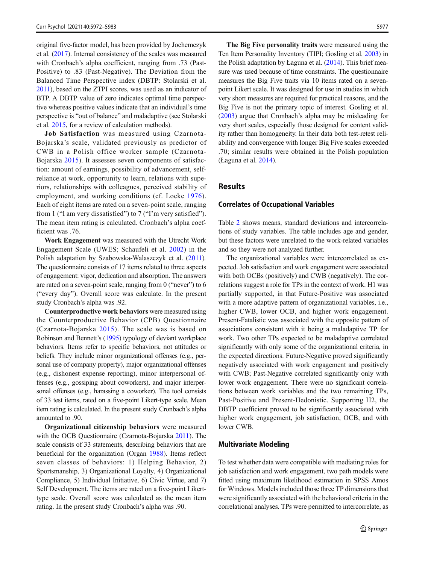original five-factor model, has been provided by Jochemczyk et al. ([2017](#page-10-0)). Internal consistency of the scales was measured with Cronbach's alpha coefficient, ranging from .73 (Past-Positive) to .83 (Past-Negative). The Deviation from the Balanced Time Perspective index (DBTP: Stolarski et al. [2011](#page-11-0)), based on the ZTPI scores, was used as an indicator of BTP. A DBTP value of zero indicates optimal time perspective whereas positive values indicate that an individual's time perspective is "out of balance" and maladaptive (see Stolarski et al. [2015](#page-11-0), for a review of calculation methods).

Job Satisfaction was measured using Czarnota-Bojarska's scale, validated previously as predictor of CWB in a Polish office worker sample (Czarnota-Bojarska [2015\)](#page-10-0). It assesses seven components of satisfaction: amount of earnings, possibility of advancement, selfreliance at work, opportunity to learn, relations with superiors, relationships with colleagues, perceived stability of employment, and working conditions (cf. Locke [1976](#page-10-0)). Each of eight items are rated on a seven-point scale, ranging from 1 ("I am very dissatisfied") to 7 ("I'm very satisfied"). The mean item rating is calculated. Cronbach's alpha coefficient was .76.

Work Engagement was measured with the Utrecht Work Engagement Scale (UWES; Schaufeli et al. [2002\)](#page-11-0) in the Polish adaptation by Szabowska-Walaszczyk et al. ([2011](#page-11-0)). The questionnaire consists of 17 items related to three aspects of engagement: vigor, dedication and absorption. The answers are rated on a seven-point scale, ranging from 0 ("never") to 6 ("every day"). Overall score was calculate. In the present study Cronbach's alpha was .92.

Counterproductive work behaviors were measured using the Counterproductive Behavior (CPB) Questionnaire (Czarnota-Bojarska [2015\)](#page-10-0). The scale was is based on Robinson and Bennett's ([1995\)](#page-11-0) typology of deviant workplace behaviors. Items refer to specific behaviors, not attitudes or beliefs. They include minor organizational offenses (e.g., personal use of company property), major organizational offenses (e.g., dishonest expense reporting), minor interpersonal offenses (e.g., gossiping about coworkers), and major interpersonal offenses (e.g., harassing a coworker). The tool consists of 33 test items, rated on a five-point Likert-type scale. Mean item rating is calculated. In the present study Cronbach's alpha amounted to .90.

Organizational citizenship behaviors were measured with the OCB Questionnaire (Czarnota-Bojarska [2011](#page-9-0)). The scale consists of 33 statements, describing behaviors that are beneficial for the organization (Organ [1988](#page-10-0)). Items reflect seven classes of behaviors: 1) Helping Behavior, 2) Sportsmanship, 3) Organizational Loyalty, 4) Organizational Compliance, 5) Individual Initiative, 6) Civic Virtue, and 7) Self Development. The items are rated on a five-point Likerttype scale. Overall score was calculated as the mean item rating. In the present study Cronbach's alpha was .90.

The Big Five personality traits were measured using the Ten Item Personality Inventory (TIPI; Gosling et al. [2003\)](#page-10-0) in the Polish adaptation by Łaguna et al. [\(2014\)](#page-10-0). This brief measure was used because of time constraints. The questionnaire measures the Big Five traits via 10 items rated on a sevenpoint Likert scale. It was designed for use in studies in which very short measures are required for practical reasons, and the Big Five is not the primary topic of interest. Gosling et al. [\(2003](#page-10-0)) argue that Cronbach's alpha may be misleading for very short scales, especially those designed for content validity rather than homogeneity. In their data both test-retest reliability and convergence with longer Big Five scales exceeded .70; similar results were obtained in the Polish population (Łaguna et al. [2014](#page-10-0)).

# Results

#### Correlates of Occupational Variables

Table [2](#page-6-0) shows means, standard deviations and intercorrelations of study variables. The table includes age and gender, but these factors were unrelated to the work-related variables and so they were not analyzed further.

The organizational variables were intercorrelated as expected. Job satisfaction and work engagement were associated with both OCBs (positively) and CWB (negatively). The correlations suggest a role for TPs in the context of work. H1 was partially supported, in that Future-Positive was associated with a more adaptive pattern of organizational variables, i.e., higher CWB, lower OCB, and higher work engagement. Present-Fatalistic was associated with the opposite pattern of associations consistent with it being a maladaptive TP for work. Two other TPs expected to be maladaptive correlated significantly with only some of the organizational criteria, in the expected directions. Future-Negative proved significantly negatively associated with work engagement and positively with CWB; Past-Negative correlated significantly only with lower work engagement. There were no significant correlations between work variables and the two remaining TPs, Past-Positive and Present-Hedonistic. Supporting H2, the DBTP coefficient proved to be significantly associated with higher work engagement, job satisfaction, OCB, and with lower CWB.

#### Multivariate Modeling

To test whether data were compatible with mediating roles for job satisfaction and work engagement, two path models were fitted using maximum likelihood estimation in SPSS Amos for Windows. Models included those three TP dimensions that were significantly associated with the behavioral criteria in the correlational analyses. TPs were permitted to intercorrelate, as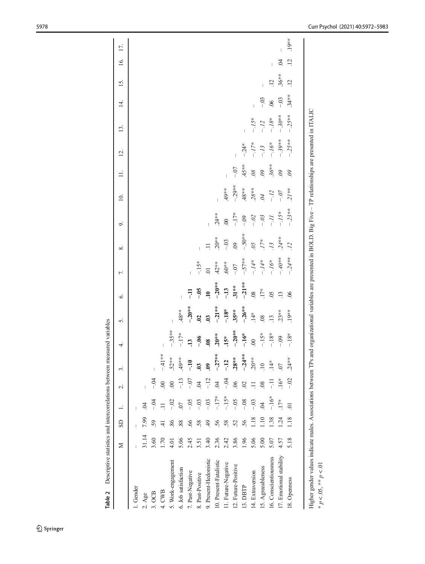<span id="page-6-0"></span>

| Descriptive statistics and intercorrelations between measured variables<br>Table 2                                                                                                                    |       |            |                |                 |                     |                          |                  |                     |                        |                 |          |                |                       |                  |                |                |                 |                 |          |
|-------------------------------------------------------------------------------------------------------------------------------------------------------------------------------------------------------|-------|------------|----------------|-----------------|---------------------|--------------------------|------------------|---------------------|------------------------|-----------------|----------|----------------|-----------------------|------------------|----------------|----------------|-----------------|-----------------|----------|
|                                                                                                                                                                                                       | ⊠     | <b>GS</b>  | $\div$         | $\sim$          | $\dot{\tilde{z}}$   | 4.                       | 5.               | Ġ.                  | 7.                     | ∞ं              | o.       | $\overline{a}$ | $\equiv$              | $\overline{2}$ . | 13.            | 4.             | 15.             | 16.             | 17.      |
| 1. Gender                                                                                                                                                                                             |       |            |                |                 |                     |                          |                  |                     |                        |                 |          |                |                       |                  |                |                |                 |                 |          |
| $2. \text{Age}$                                                                                                                                                                                       | 31.14 | 7.99       | $\overline{6}$ |                 |                     |                          |                  |                     |                        |                 |          |                |                       |                  |                |                |                 |                 |          |
| 3.0CB                                                                                                                                                                                                 | 3.60  | 59         | –<br>२         | $-5$            |                     |                          |                  |                     |                        |                 |          |                |                       |                  |                |                |                 |                 |          |
| 4. CWB                                                                                                                                                                                                | 1.70  | $\ddot{=}$ | $\equiv$       | $\overline{0}$  | $-41**$             | $\overline{\phantom{a}}$ |                  |                     |                        |                 |          |                |                       |                  |                |                |                 |                 |          |
| 5. Work-engagement                                                                                                                                                                                    | 4.01  | 86         | $-5$           | $\infty$        | $.52***$            | $-35**$                  |                  |                     |                        |                 |          |                |                       |                  |                |                |                 |                 |          |
| 6. Job satisfaction                                                                                                                                                                                   | 5.06  | 88         | $\overline{0}$ | $-13$           | $49**$              | $-17*$                   | $.48**$          |                     |                        |                 |          |                |                       |                  |                |                |                 |                 |          |
| 7. Past-Negative                                                                                                                                                                                      | 2.45  | 66         | $-0.5$         | $-0^{-}$        | $\frac{1}{1}$       | $\overline{13}$          | $-20**$          | 큐                   | $\overline{1}$         |                 |          |                |                       |                  |                |                |                 |                 |          |
| 8. Past-Positive                                                                                                                                                                                      | 3.51  | 58.        | $-0.3$         | $\overline{6}$  | $\ddot{\mathbf{c}}$ | $-0.6$                   | $\overline{c}$   | $-0.5$              | $-15*$                 |                 |          |                |                       |                  |                |                |                 |                 |          |
| 9. Present-Hedonistic                                                                                                                                                                                 | 3.40  | 49         | $-0.3$         | $-12$           | $\ddot{6}$          | $\overline{\phantom{0}}$ | $\ddot{3}$       | $\ddot{=}$          | $\overline{0}$         | $\Xi$           |          |                |                       |                  |                |                |                 |                 |          |
| 10. Present-Fatalistic                                                                                                                                                                                | 2.36  | 56         | $-17*$         | $\overline{6}$  | $-27**$             | $.20***$                 | $-21**$          | $-20**$             | $42***$                | $.20***$        | $.24***$ |                |                       |                  |                |                |                 |                 |          |
| 11. Future-Negative                                                                                                                                                                                   | 2.42  | 58.        | $-15*$         | $-0.4$          | $-12$               | $.15*$                   | $-18*$           | $-13$               | $**09.$                | $-0.03$         | $\infty$ | 49**           |                       |                  |                |                |                 |                 |          |
| 12. Future-Positive                                                                                                                                                                                   | 3.86  | 52         | $-0.5$         | 06              | $.28***$            | $-20**$                  | $35***$          | $31***$             | $-0$                   | $\overline{0}$  | $-17*$   | $-29**$        | $-0$                  |                  |                |                |                 |                 |          |
| 13. DBTP                                                                                                                                                                                              | 1.96  | 56         | $-08$          | $\overline{c}$  | $-24**$             | $-16*$                   | $-26***$         | $-21**$             | $-57**$                | $-50**$         | $-0.9$   | $.48**$        | 45**                  | $-.24*$          | $\overline{1}$ |                |                 |                 |          |
| 14. Extraversion                                                                                                                                                                                      | 5.06  | 1.18       | $-0.3$         | $\Xi$           | $.20**$             | $\overline{0}$           | $14*$            | $\overline{08}$     | $-14*$                 | $\overline{0}$  | $-0.2$   | $.28**$        | $\partial\mathcal{S}$ | $-17*$           | $-.15*$        |                |                 |                 |          |
| 15. Agreeableness                                                                                                                                                                                     | 5.00  | 1.10       | $\overline{5}$ | $\overline{08}$ | $\overline{10}$     | $-15*$                   | .08              | $17*$               | $-.14*$                | $17*$           | $-.03$   | $\beta$        | $\ddot{\theta}$       | $-13$            | $-12$          | $-0.3$         |                 |                 |          |
| 16. Conscientiousness                                                                                                                                                                                 | 5.07  | 1.38       | $-16*$         | 큐               | $\ddot{1}4^*$       | $-18*$                   | $\overline{.13}$ | $\ddot{\mathrm{c}}$ | $\dot{z}$ / $\ddot{Q}$ | $\overline{13}$ | II -     | $-12$          | $.36**$               | $-.16*$          | $-.18*$        | $\overline{0}$ | .12             |                 |          |
| 17. Emotional stability                                                                                                                                                                               | 4.57  | 1.24       | $17*$          | $16*$           | $\overline{0}$      | $-0.9$                   | $.23***$         | $\overline{13}$     | $^{***}Ot$ . $-$       | $.24**$         | $-.15*$  | $-0.7$         | $\delta \theta$       | $-39**$          | $-30**$        | $-03$          | $.36***$        | $\dot{5}$       |          |
| 18. Openness                                                                                                                                                                                          | 5.18  | 1.18       | $\overline{O}$ | $-02$           | $.24**$             | $-18*$                   | $.19***$         | 06                  | $-24**$                | $\overline{12}$ | $-23**$  | $21**$         | $\ddot{\theta}$       | $-25**$          | $-25**$        | $.34***$       | $\overline{12}$ | $\overline{12}$ | $.19***$ |
| Higher gender values indicate males. Associations between TPs and organizational variables are presented in BOLD. Big Five - TP relationships are presented in ITALIC<br>* $p < 0.05$ , ** $p < 0.01$ |       |            |                |                 |                     |                          |                  |                     |                        |                 |          |                |                       |                  |                |                |                 |                 |          |
|                                                                                                                                                                                                       |       |            |                |                 |                     |                          |                  |                     |                        |                 |          |                |                       |                  |                |                |                 |                 |          |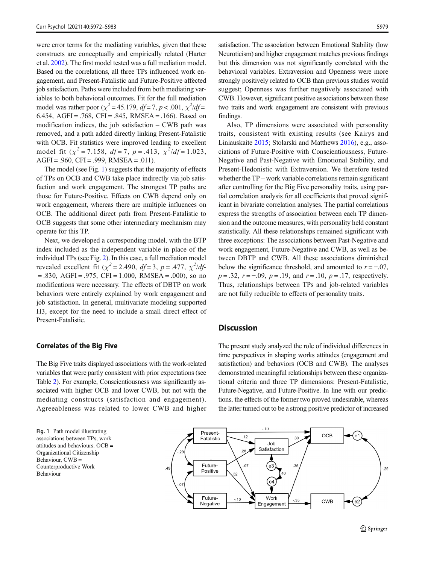were error terms for the mediating variables, given that these constructs are conceptually and empirically related (Harter et al. [2002\)](#page-10-0). The first model tested was a full mediation model. Based on the correlations, all three TPs influenced work engagement, and Present-Fatalistic and Future-Positive affected job satisfaction. Paths were included from both mediating variables to both behavioral outcomes. Fit for the full mediation model was rather poor ( $\chi^2$  = 45.179, df = 7, p < .001,  $\chi^2$ /df = 6.454, AGFI = .768, CFI = .845, RMSEA = .166). Based on modification indices, the job satisfaction  $-$  CWB path was removed, and a path added directly linking Present-Fatalistic with OCB. Fit statistics were improved leading to excellent model fit ( $\chi^2$  = 7.158, df = 7, p = .413,  $\chi^2/df$  = 1.023,  $AGFI = .960$ ,  $CFI = .999$ ,  $RMSEA = .011$ ).

The model (see Fig. 1) suggests that the majority of effects of TPs on OCB and CWB take place indirectly via job satisfaction and work engagement. The strongest TP paths are those for Future-Positive. Effects on CWB depend only on work engagement, whereas there are multiple influences on OCB. The additional direct path from Present-Fatalistic to OCB suggests that some other intermediary mechanism may operate for this TP.

Next, we developed a corresponding model, with the BTP index included as the independent variable in place of the individual TPs (see Fig. [2\)](#page-8-0). In this case, a full mediation model revealed excellent fit ( $\chi^2$  = 2.490, *df* = 3, *p* = .477,  $\chi^2/df$ - $= .830, AGFI = .975, CFI = 1.000, RMSEA = .000, so no$ modifications were necessary. The effects of DBTP on work behaviors were entirely explained by work engagement and job satisfaction. In general, multivariate modeling supported H3, except for the need to include a small direct effect of Present-Fatalistic.

## Correlates of the Big Five

The Big Five traits displayed associations with the work-related variables that were partly consistent with prior expectations (see Table [2](#page-6-0)). For example, Conscientiousness was significantly associated with higher OCB and lower CWB, but not with the mediating constructs (satisfaction and engagement). Agreeableness was related to lower CWB and higher

Fig. 1 Path model illustrating associations between TPs, work attitudes and behaviours. OCB = Organizational Citizenship Behaviour, CWB = Counterproductive Work Behaviour

satisfaction. The association between Emotional Stability (low Neuroticism) and higher engagement matches previous findings but this dimension was not significantly correlated with the behavioral variables. Extraversion and Openness were more strongly positively related to OCB than previous studies would suggest; Openness was further negatively associated with CWB. However, significant positive associations between these two traits and work engagement are consistent with previous findings.

Also, TP dimensions were associated with personality traits, consistent with existing results (see Kairys and Liniauskaite [2015](#page-10-0); Stolarski and Matthews [2016\)](#page-11-0), e.g., associations of Future-Positive with Conscientiousness, Future-Negative and Past-Negative with Emotional Stability, and Present-Hedonistic with Extraversion. We therefore tested whether the TP – work variable correlations remain significant after controlling for the Big Five personality traits, using partial correlation analysis for all coefficients that proved significant in bivariate correlation analyses. The partial correlations express the strengths of association between each TP dimension and the outcome measures, with personality held constant statistically. All these relationships remained significant with three exceptions: The associations between Past-Negative and work engagement, Future-Negative and CWB, as well as between DBTP and CWB. All these associations diminished below the significance threshold, and amounted to  $r = -0.07$ ,  $p = .32$ ,  $r = -.09$ ,  $p = .19$ , and  $r = .10$ ,  $p = .17$ , respectively. Thus, relationships between TPs and job-related variables are not fully reducible to effects of personality traits.

# **Discussion**

The present study analyzed the role of individual differences in time perspectives in shaping works attitudes (engagement and satisfaction) and behaviors (OCB and CWB). The analyses demonstrated meaningful relationships between these organizational criteria and three TP dimensions: Present-Fatalistic, Future-Negative, and Future-Positive. In line with our predictions, the effects of the former two proved undesirable, whereas the latter turned out to be a strong positive predictor of increased

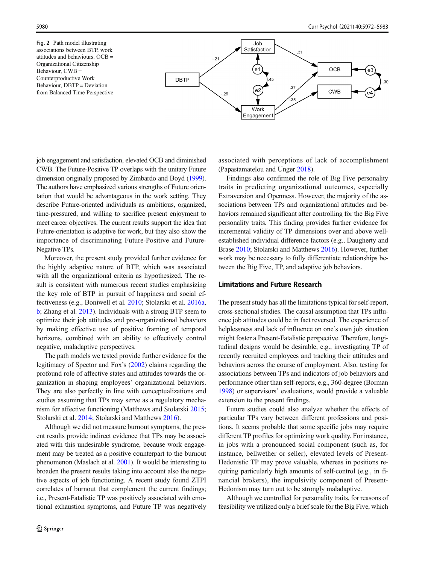<span id="page-8-0"></span>Fig. 2 Path model illustrating associations between BTP, work attitudes and behaviours. OCB = Organizational Citizenship Behaviour, CWB = Counterproductive Work Behaviour, DBTP = Deviation from Balanced Time Perspective



job engagement and satisfaction, elevated OCB and diminished CWB. The Future-Positive TP overlaps with the unitary Future dimension originally proposed by Zimbardo and Boyd ([1999\)](#page-11-0). The authors have emphasized various strengths of Future orientation that would be advantageous in the work setting. They describe Future-oriented individuals as ambitious, organized, time-pressured, and willing to sacrifice present enjoyment to meet career objectives. The current results support the idea that Future-orientation is adaptive for work, but they also show the importance of discriminating Future-Positive and Future-Negative TPs.

Moreover, the present study provided further evidence for the highly adaptive nature of BTP, which was associated with all the organizational criteria as hypothesized. The result is consistent with numerous recent studies emphasizing the key role of BTP in pursuit of happiness and social effectiveness (e.g., Boniwell et al. [2010;](#page-9-0) Stolarski et al. [2016a,](#page-11-0) [b;](#page-11-0) Zhang et al. [2013](#page-11-0)). Individuals with a strong BTP seem to optimize their job attitudes and pro-organizational behaviors by making effective use of positive framing of temporal horizons, combined with an ability to effectively control negative, maladaptive perspectives.

The path models we tested provide further evidence for the legitimacy of Spector and Fox's [\(2002\)](#page-11-0) claims regarding the profound role of affective states and attitudes towards the organization in shaping employees' organizational behaviors. They are also perfectly in line with conceptualizations and studies assuming that TPs may serve as a regulatory mechanism for affective functioning (Matthews and Stolarski [2015](#page-10-0); Stolarski et al. [2014;](#page-11-0) Stolarski and Matthews [2016](#page-11-0)).

Although we did not measure burnout symptoms, the present results provide indirect evidence that TPs may be associated with this undesirable syndrome, because work engagement may be treated as a positive counterpart to the burnout phenomenon (Maslach et al. [2001](#page-10-0)). It would be interesting to broaden the present results taking into account also the negative aspects of job functioning. A recent study found ZTPI correlates of burnout that complement the current findings; i.e., Present-Fatalistic TP was positively associated with emotional exhaustion symptoms, and Future TP was negatively associated with perceptions of lack of accomplishment (Papastamatelou and Unger [2018\)](#page-10-0).

Findings also confirmed the role of Big Five personality traits in predicting organizational outcomes, especially Extraversion and Openness. However, the majority of the associations between TPs and organizational attitudes and behaviors remained significant after controlling for the Big Five personality traits. This finding provides further evidence for incremental validity of TP dimensions over and above wellestablished individual difference factors (e.g., Daugherty and Brase [2010](#page-10-0); Stolarski and Matthews [2016\)](#page-11-0). However, further work may be necessary to fully differentiate relationships between the Big Five, TP, and adaptive job behaviors.

## Limitations and Future Research

The present study has all the limitations typical for self-report, cross-sectional studies. The causal assumption that TPs influence job attitudes could be in fact reversed. The experience of helplessness and lack of influence on one's own job situation might foster a Present-Fatalistic perspective. Therefore, longitudinal designs would be desirable, e.g., investigating TP of recently recruited employees and tracking their attitudes and behaviors across the course of employment. Also, testing for associations between TPs and indicators of job behaviors and performance other than self-reports, e.g., 360-degree (Borman [1998\)](#page-9-0) or supervisors' evaluations, would provide a valuable extension to the present findings.

Future studies could also analyze whether the effects of particular TPs vary between different professions and positions. It seems probable that some specific jobs may require different TP profiles for optimizing work quality. For instance, in jobs with a pronounced social component (such as, for instance, bellwether or seller), elevated levels of Present-Hedonistic TP may prove valuable, whereas in positions requiring particularly high amounts of self-control (e.g., in financial brokers), the impulsivity component of Present-Hedonism may turn out to be strongly maladaptive.

Although we controlled for personality traits, for reasons of feasibility we utilized only a brief scale for the Big Five, which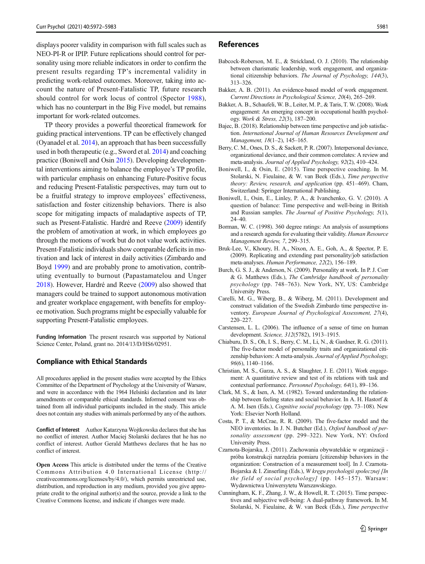<span id="page-9-0"></span>displays poorer validity in comparison with full scales such as NEO-PI-R or IPIP. Future replications should control for personality using more reliable indicators in order to confirm the present results regarding TP's incremental validity in predicting work-related outcomes. Moreover, taking into account the nature of Present-Fatalistic TP, future research should control for work locus of control (Spector [1988](#page-11-0)), which has no counterpart in the Big Five model, but remains important for work-related outcomes.

TP theory provides a powerful theoretical framework for guiding practical interventions. TP can be effectively changed (Oyanadel et al. [2014](#page-10-0)), an approach that has been successfully used in both therapeutic (e.g., Sword et al. [2014\)](#page-11-0) and coaching practice (Boniwell and Osin 2015). Developing developmental interventions aiming to balance the employee's TP profile, with particular emphasis on enhancing Future-Positive focus and reducing Present-Fatalistic perspectives, may turn out to be a fruitful strategy to improve employees' effectiveness, satisfaction and foster citizenship behaviors. There is also scope for mitigating impacts of maladaptive aspects of TP, such as Present-Fatalistic. Hardré and Reeve [\(2009\)](#page-10-0) identify the problem of amotivation at work, in which employees go through the motions of work but do not value work activities. Present-Fatalistic individuals show comparable deficits in motivation and lack of interest in daily activities (Zimbardo and Boyd [1999](#page-11-0)) and are probably prone to amotivation, contributing eventually to burnout (Papastamatelou and Unger [2018\)](#page-10-0). However, Hardré and Reeve [\(2009\)](#page-10-0) also showed that managers could be trained to support autonomous motivation and greater workplace engagement, with benefits for employee motivation. Such programs might be especially valuable for supporting Present-Fatalistic employees.

Funding Information The present research was supported by National Science Center, Poland, grant no. 2014/13/D/HS6/02951.

#### Compliance with Ethical Standards

All procedures applied in the present studies were accepted by the Ethics Committee of the Department of Psychology at the University of Warsaw, and were in accordance with the 1964 Helsinki declaration and its later amendments or comparable ethical standards. Informed consent was obtained from all individual participants included in the study. This article does not contain any studies with animals performed by any of the authors.

Conflict of Interest Author Katarzyna Wojtkowska declares that she has no conflict of interest. Author Maciej Stolarski declares that he has no conflict of interest. Author Gerald Matthews declares that he has no conflict of interest.

Open Access This article is distributed under the terms of the Creative Commons Attribution 4.0 International License (http:// creativecommons.org/licenses/by/4.0/), which permits unrestricted use, distribution, and reproduction in any medium, provided you give appropriate credit to the original author(s) and the source, provide a link to the Creative Commons license, and indicate if changes were made.

### References

- Babcock-Roberson, M. E., & Strickland, O. J. (2010). The relationship between charismatic leadership, work engagement, and organizational citizenship behaviors. The Journal of Psychology, 144(3), 313–326.
- Bakker, A. B. (2011). An evidence-based model of work engagement. Current Directions in Psychological Science, 20(4), 265–269.
- Bakker, A. B., Schaufeli, W. B., Leiter, M. P., & Taris, T. W. (2008). Work engagement: An emerging concept in occupational health psychology. Work & Stress, 22(3), 187–200.
- Bajec, B. (2018). Relationship between time perspective and job satisfaction. International Journal of Human Resources Development and Management, 18(1–2), 145–165.
- Berry, C. M., Ones, D. S., & Sackett, P. R. (2007). Interpersonal deviance, organizational deviance, and their common correlates: A review and meta-analysis. Journal of Applied Psychology, 92(2), 410–424.
- Boniwell, I., & Osin, E. (2015). Time perspective coaching. In M. Stolarski, N. Fieulaine, & W. van Beek (Eds.), Time perspective theory: Review, research, and application (pp. 451–469). Cham, Switzerland: Springer International Publishing.
- Boniwell, I., Osin, E., Linley, P. A., & Ivanchenko, G. V. (2010). A question of balance: Time perspective and well-being in British and Russian samples. The Journal of Positive Psychology, 5(1), 24–40.
- Borman, W. C. (1998). 360 degree ratings: An analysis of assumptions and a research agenda for evaluating their validity. Human Resource Management Review, 7, 299–315.
- Bruk-Lee, V., Khoury, H. A., Nixon, A. E., Goh, A., & Spector, P. E. (2009). Replicating and extending past personality/job satisfaction meta-analyses. Human Performance, 22(2), 156–189.
- Burch, G. S. J., & Anderson, N. (2009). Personality at work. In P. J. Corr & G. Matthews (Eds.), The Cambridge handbook of personality psychology (pp. 748–763). New York, NY, US: Cambridge University Press.
- Carelli, M. G., Wiberg, B., & Wiberg, M. (2011). Development and construct validation of the Swedish Zimbardo time perspective inventory. European Journal of Psychological Assessment, 27(4), 220–227.
- Carstensen, L. L. (2006). The influence of a sense of time on human development. Science, 312(5782), 1913–1915.
- Chiaburu, D. S., Oh, I. S., Berry, C. M., Li, N., & Gardner, R. G. (2011). The five-factor model of personality traits and organizational citizenship behaviors: A meta-analysis. Journal of Applied Psychology, 96(6), 1140–1166.
- Christian, M. S., Garza, A. S., & Slaughter, J. E. (2011). Work engagement: A quantitative review and test of its relations with task and contextual performance. Personnel Psychology, 64(1), 89–136.
- Clark, M. S., & Isen, A. M. (1982). Toward understanding the relationship between feeling states and social behavior. In A. H. Hastorf & A. M. Isen (Eds.), Cognitive social psychology (pp. 73–108). New York: Elsevier North Holland.
- Costa, P. T., & McCrae, R. R. (2009). The five-factor model and the NEO inventories. In J. N. Butcher (Ed.), Oxford handbook of personality assessment (pp. 299-322). New York, NY: Oxford University Press.
- Czarnota-Bojarska, J. (2011). Zachowania obywatelskie w organizacji próba konstrukcji narzędzia pomiaru [citizenship behaviors in the organization: Construction of a measurement tool]. In J. Czarnota-Bojarska & I. Zinserling (Eds.), W kręgu psychologii społecznej [In the field of social psychology] (pp. 145–157). Warsaw: Wydawnictwa Uniwersytetu Warszawskiego.
- Cunningham, K. F., Zhang, J. W., & Howell, R. T. (2015). Time perspectives and subjective well-being: A dual-pathway framework. In M. Stolarski, N. Fieulaine, & W. van Beek (Eds.), Time perspective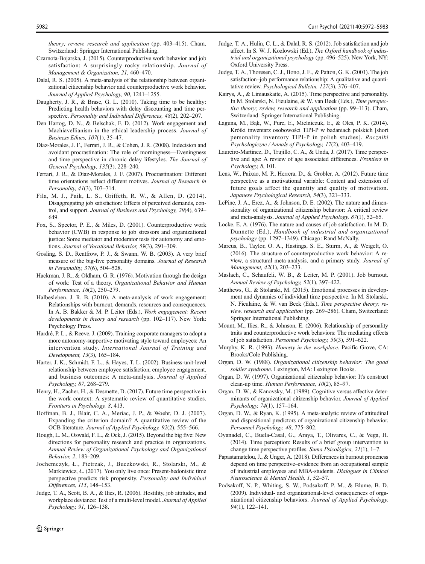- <span id="page-10-0"></span>Switzerland: Springer International Publishing. Czarnota-Bojarska, J. (2015). Counterproductive work behavior and job satisfaction: A surprisingly rocky relationship. Journal of Management & Organization, 21, 460–470.
- Dalal, R. S. (2005). A meta-analysis of the relationship between organizational citizenship behavior and counterproductive work behavior. Journal of Applied Psychology, 90, 1241–1255.
- Daugherty, J. R., & Brase, G. L. (2010). Taking time to be healthy: Predicting health behaviors with delay discounting and time perspective. Personality and Individual Differences, 48(2), 202–207.
- Den Hartog, D. N., & Belschak, F. D. (2012). Work engagement and Machiavellianism in the ethical leadership process. Journal of Business Ethics, 107(1), 35–47.
- Díaz-Morales, J. F., Ferrari, J. R., & Cohen, J. R. (2008). Indecision and avoidant procrastination: The role of morningness—Eveningness and time perspective in chronic delay lifestyles. The Journal of General Psychology, 135(3), 228–240.
- Ferrari, J. R., & Díaz-Morales, J. F. (2007). Procrastination: Different time orientations reflect different motives. Journal of Research in Personality, 41(3), 707–714.
- Fila, M. J., Paik, L. S., Griffeth, R. W., & Allen, D. (2014). Disaggregating job satisfaction: Effects of perceived demands, control, and support. Journal of Business and Psychology, 29(4), 639– 649.
- Fox, S., Spector, P. E., & Miles, D. (2001). Counterproductive work behavior (CWB) in response to job stressors and organizational justice: Some mediator and moderator tests for autonomy and emotions. Journal of Vocational Behavior, 59(3), 291–309.
- Gosling, S. D., Rentfrow, P. J., & Swann, W. B. (2003). A very brief measure of the big-five personality domains. Journal of Research in Personality, 37(6), 504–528.
- Hackman, J. R., & Oldham, G. R. (1976). Motivation through the design of work: Test of a theory. Organizational Behavior and Human Performance, 16(2), 250–279.
- Halbesleben, J. R. B. (2010). A meta-analysis of work engagement: Relationships with burnout, demands, resources and consequences. In A. B. Bakker & M. P. Leiter (Eds.), Work engagement: Recent developments in theory and research (pp. 102–117). New York: Psychology Press.
- Hardré, P. L., & Reeve, J. (2009). Training corporate managers to adopt a more autonomy-supportive motivating style toward employees: An intervention study. International Journal of Training and Development, 13(3), 165–184.
- Harter, J. K., Schmidt, F. L., & Hayes, T. L. (2002). Business-unit-level relationship between employee satisfaction, employee engagement, and business outcomes: A meta-analysis. Journal of Applied Psychology, 87, 268–279.
- Henry, H., Zacher, H., & Desmette, D. (2017). Future time perspective in the work context: A systematic review of quantitative studies. Frontiers in Psychology, 8, 413.
- Hoffman, B. J., Blair, C. A., Meriac, J. P., & Woehr, D. J. (2007). Expanding the criterion domain? A quantitative review of the OCB literature. Journal of Applied Psychology, 92(2), 555–566.
- Hough, L. M., Oswald, F. L., & Ock, J. (2015). Beyond the big five: New directions for personality research and practice in organizations. Annual Review of Organizational Psychology and Organizational Behavior, 2, 183–209.
- Jochemczyk, Ł., Pietrzak, J., Buczkowski, R., Stolarski, M., & Markiewicz, Ł. (2017). You only live once: Present-hedonistic time perspective predicts risk propensity. Personality and Individual Differences, 115, 148–153.
- Judge, T. A., Scott, B. A., & Ilies, R. (2006). Hostility, job attitudes, and workplace deviance: Test of a multi-level model. Journal of Applied Psychology, 91, 126–138.
- Judge, T. A., Hulin, C. L., & Dalal, R. S. (2012). Job satisfaction and job affect. In S. W. J. Kozlowski (Ed.), The Oxford handbook of industrial and organizational psychology (pp. 496–525). New York, NY: Oxford University Press.
- Judge, T. A., Thoresen, C. J., Bono, J. E., & Patton, G. K. (2001). The job satisfaction–job performance relationship: A qualitative and quantitative review. Psychological Bulletin, 127(3), 376–407.
- Kairys, A., & Liniauskaite, A. (2015). Time perspective and personality. In M. Stolarski, N. Fieulaine, & W. van Beek (Eds.), Time perspective theory; review, research and application (pp. 99–113). Cham, Switzerland: Springer International Publishing.
- Łaguna, M., Bąk, W., Purc, E., Mielniczuk, E., & Oleś, P. K. (2014). Krótki inwentarz osobowości TIPI-P w badaniach polskich [short personality inventory TIPI-P in polish studies]. Roczniki Psychologiczne / Annals of Psychology, 17(2), 403–419.
- Laureiro-Martinez, D., Trujillo, C. A., & Unda, J. (2017). Time perspective and age: A review of age associated differences. Frontiers in Psychology, 8, 101.
- Lens, W., Paixao, M. P., Herrera, D., & Grobler, A. (2012). Future time perspective as a motivational variable: Content and extension of future goals affect the quantity and quality of motivation. Japanese Psychological Research, 54(3), 321–333.
- LePine, J. A., Erez, A., & Johnson, D. E. (2002). The nature and dimensionality of organizational citizenship behavior: A critical review and meta-analysis. Journal of Applied Psychology, 87(1), 52–65.
- Locke, E. A. (1976). The nature and causes of job satisfaction. In M. D. Dunnette (Ed.), Handbook of industrial and organizational psychology (pp. 1297–1349). Chicago: Rand McNally.
- Marcus, B., Taylor, O. A., Hastings, S. E., Sturm, A., & Weigelt, O. (2016). The structure of counterproductive work behavior: A review, a structural meta-analysis, and a primary study. Journal of Management, 42(1), 203–233.
- Maslach, C., Schaufeli, W. B., & Leiter, M. P. (2001). Job burnout. Annual Review of Psychology, 52(1), 397–422.
- Matthews, G., & Stolarski, M. (2015). Emotional processes in development and dynamics of individual time perspective. In M. Stolarski, N. Fieulaine, & W. van Beek (Eds.), Time perspective theory; review, research and application (pp. 269–286). Cham, Switzerland: Springer International Publishing.
- Mount, M., Ilies, R., & Johnson, E. (2006). Relationship of personality traits and counterproductive work behaviors: The mediating effects of job satisfaction. Personnel Psychology, 59(3), 591–622.
- Murphy, K. R. (1993). Honesty in the workplace. Pacific Grove, CA: Brooks/Cole Publishing.
- Organ, D. W. (1988). Organizational citizenship behavior: The good soldier syndrome. Lexington, MA: Lexington Books.
- Organ, D. W. (1997). Organizational citizenship behavior: It's construct clean-up time. Human Performance, 10(2), 85–97.
- Organ, D. W., & Kanovsky, M. (1989). Cognitive versus affective determinants of organizational citizenship behavior. Journal of Applied Psychology, 74(1), 157–164.
- Organ, D. W., & Ryan, K. (1995). A meta-analytic review of attitudinal and dispositional predictors of organizational citizenship behavior. Personnel Psychology, 48, 775–802.
- Oyanadel, C., Buela-Casal, G., Araya, T., Olivares, C., & Vega, H. (2014). Time perception: Results of a brief group intervention to change time perspective profiles. Suma Psicológica, 21(1), 1–7.
- Papastamatelou, J., & Unger, A. (2018). Differences in burnout proneness depend on time perspective–evidence from an occupational sample of industrial employees and MBA-students. Dialogues in Clinical Neuroscience & Mental Health, 1, 52–57.
- Podsakoff, N. P., Whiting, S. W., Podsakoff, P. M., & Blume, B. D. (2009). Individual- and organizational-level consequences of organizational citizenship behaviors. Journal of Applied Psychology, 94(1), 122–141.